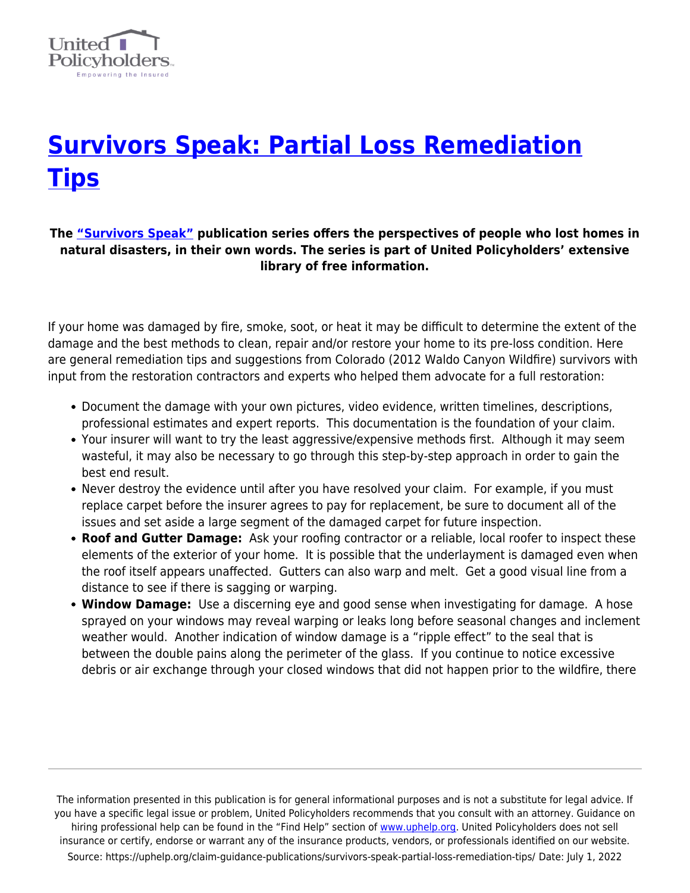

## **[Survivors Speak: Partial Loss Remediation](https://uphelp.org/claim-guidance-publications/survivors-speak-partial-loss-remediation-tips/) [Tips](https://uphelp.org/claim-guidance-publications/survivors-speak-partial-loss-remediation-tips/)**

## **The ["Survivors Speak"](https://uphelp.org/claim-guidance-publications/survivors-speak-tip-series/) publication series offers the perspectives of people who lost homes in natural disasters, in their own words. The series is part of United Policyholders' extensive library of free information.**

If your home was damaged by fire, smoke, soot, or heat it may be difficult to determine the extent of the damage and the best methods to clean, repair and/or restore your home to its pre-loss condition. Here are general remediation tips and suggestions from Colorado (2012 Waldo Canyon Wildfire) survivors with input from the restoration contractors and experts who helped them advocate for a full restoration:

- Document the damage with your own pictures, video evidence, written timelines, descriptions, professional estimates and expert reports. This documentation is the foundation of your claim.
- Your insurer will want to try the least aggressive/expensive methods first. Although it may seem wasteful, it may also be necessary to go through this step-by-step approach in order to gain the best end result.
- Never destroy the evidence until after you have resolved your claim. For example, if you must replace carpet before the insurer agrees to pay for replacement, be sure to document all of the issues and set aside a large segment of the damaged carpet for future inspection.
- **Roof and Gutter Damage:** Ask your roofing contractor or a reliable, local roofer to inspect these elements of the exterior of your home. It is possible that the underlayment is damaged even when the roof itself appears unaffected. Gutters can also warp and melt. Get a good visual line from a distance to see if there is sagging or warping.
- **Window Damage:** Use a discerning eye and good sense when investigating for damage. A hose sprayed on your windows may reveal warping or leaks long before seasonal changes and inclement weather would. Another indication of window damage is a "ripple effect" to the seal that is between the double pains along the perimeter of the glass. If you continue to notice excessive debris or air exchange through your closed windows that did not happen prior to the wildfire, there

The information presented in this publication is for general informational purposes and is not a substitute for legal advice. If you have a specific legal issue or problem, United Policyholders recommends that you consult with an attorney. Guidance on hiring professional help can be found in the "Find Help" section of [www.uphelp.org.](http://www.uphelp.org/) United Policyholders does not sell insurance or certify, endorse or warrant any of the insurance products, vendors, or professionals identified on our website. Source: https://uphelp.org/claim-guidance-publications/survivors-speak-partial-loss-remediation-tips/ Date: July 1, 2022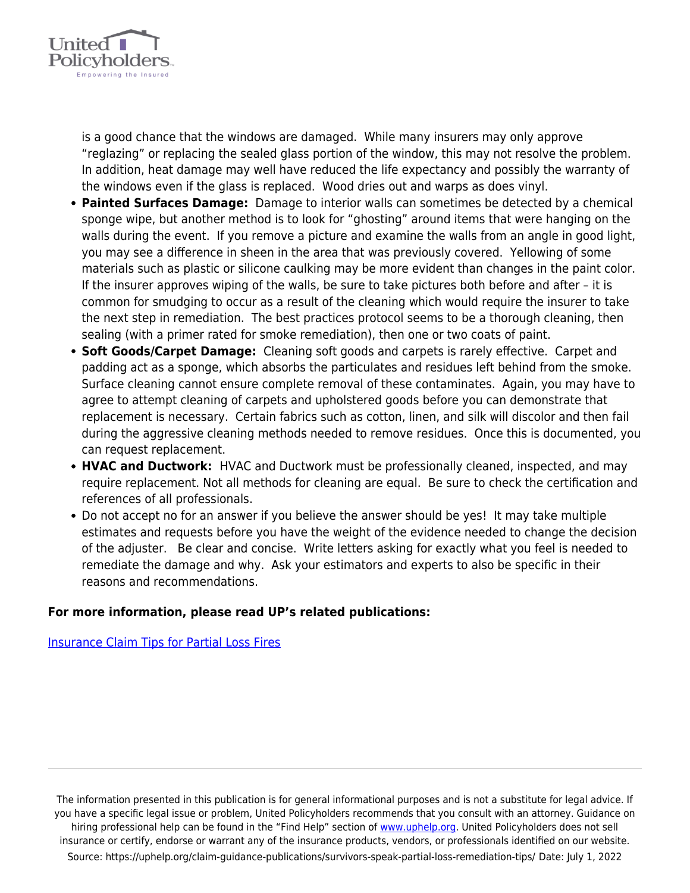

is a good chance that the windows are damaged. While many insurers may only approve "reglazing" or replacing the sealed glass portion of the window, this may not resolve the problem. In addition, heat damage may well have reduced the life expectancy and possibly the warranty of the windows even if the glass is replaced. Wood dries out and warps as does vinyl.

- **Painted Surfaces Damage:** Damage to interior walls can sometimes be detected by a chemical sponge wipe, but another method is to look for "ghosting" around items that were hanging on the walls during the event. If you remove a picture and examine the walls from an angle in good light, you may see a difference in sheen in the area that was previously covered. Yellowing of some materials such as plastic or silicone caulking may be more evident than changes in the paint color. If the insurer approves wiping of the walls, be sure to take pictures both before and after – it is common for smudging to occur as a result of the cleaning which would require the insurer to take the next step in remediation. The best practices protocol seems to be a thorough cleaning, then sealing (with a primer rated for smoke remediation), then one or two coats of paint.
- **Soft Goods/Carpet Damage:** Cleaning soft goods and carpets is rarely effective. Carpet and padding act as a sponge, which absorbs the particulates and residues left behind from the smoke. Surface cleaning cannot ensure complete removal of these contaminates. Again, you may have to agree to attempt cleaning of carpets and upholstered goods before you can demonstrate that replacement is necessary. Certain fabrics such as cotton, linen, and silk will discolor and then fail during the aggressive cleaning methods needed to remove residues. Once this is documented, you can request replacement.
- **HVAC and Ductwork:** HVAC and Ductwork must be professionally cleaned, inspected, and may require replacement. Not all methods for cleaning are equal. Be sure to check the certification and references of all professionals.
- Do not accept no for an answer if you believe the answer should be yes! It may take multiple estimates and requests before you have the weight of the evidence needed to change the decision of the adjuster. Be clear and concise. Write letters asking for exactly what you feel is needed to remediate the damage and why. Ask your estimators and experts to also be specific in their reasons and recommendations.

## **For more information, please read UP's related publications:**

[Insurance Claim Tips for Partial Loss Fires](https://uphelp.org/claim-guidance-publications/insurance-claim-tips-for-partial-loss-fires/)

The information presented in this publication is for general informational purposes and is not a substitute for legal advice. If you have a specific legal issue or problem, United Policyholders recommends that you consult with an attorney. Guidance on hiring professional help can be found in the "Find Help" section of [www.uphelp.org.](http://www.uphelp.org/) United Policyholders does not sell insurance or certify, endorse or warrant any of the insurance products, vendors, or professionals identified on our website. Source: https://uphelp.org/claim-guidance-publications/survivors-speak-partial-loss-remediation-tips/ Date: July 1, 2022